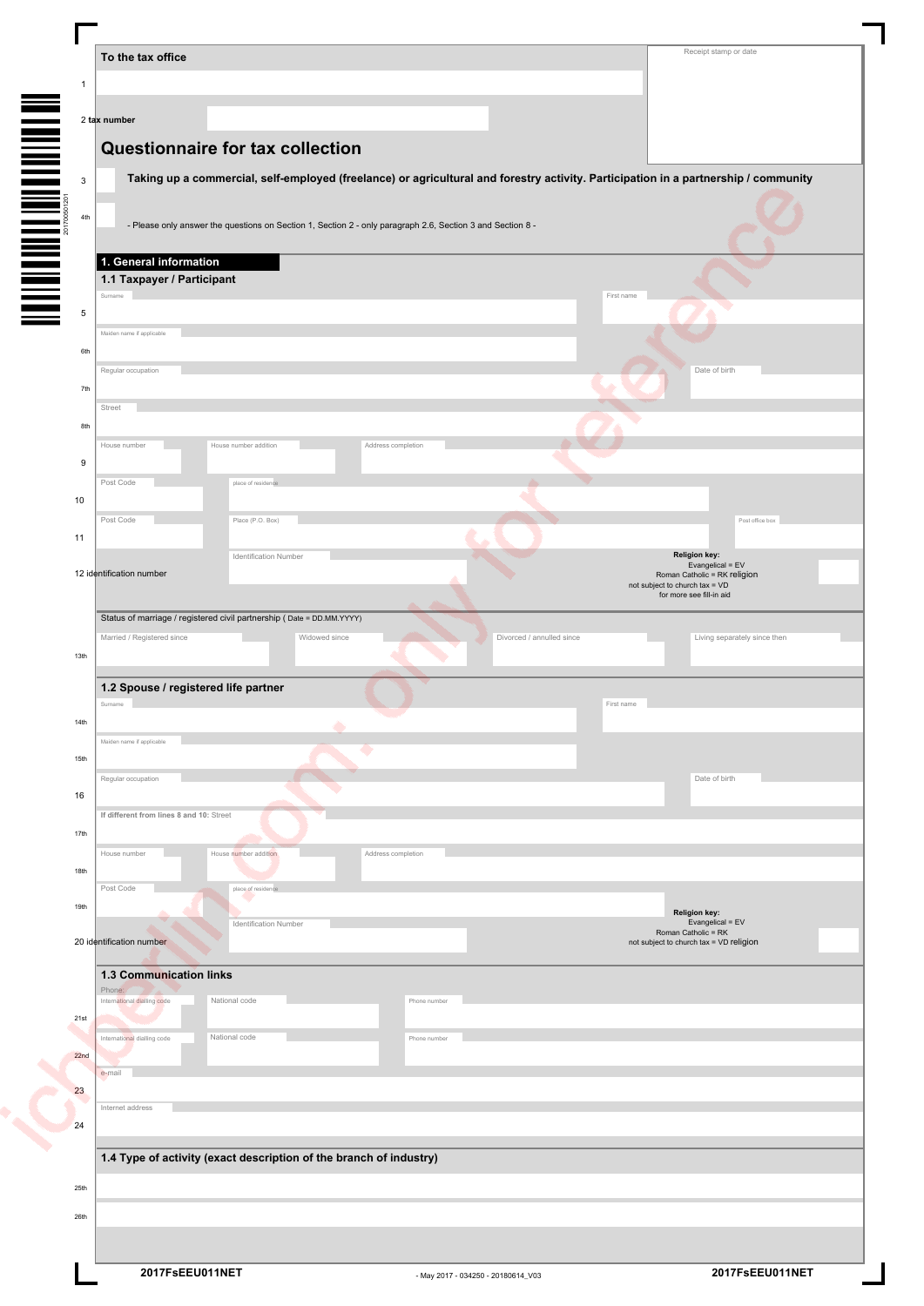|              | To the tax office                                                                                                                   | Receipt stamp or date                                                    |
|--------------|-------------------------------------------------------------------------------------------------------------------------------------|--------------------------------------------------------------------------|
| $\mathbf{1}$ |                                                                                                                                     |                                                                          |
|              | 2 tax number                                                                                                                        |                                                                          |
|              |                                                                                                                                     |                                                                          |
|              | Questionnaire for tax collection                                                                                                    |                                                                          |
| 3            | Taking up a commercial, self-employed (freelance) or agricultural and forestry activity. Participation in a partnership / community |                                                                          |
| 4th          |                                                                                                                                     |                                                                          |
| 201700501201 | - Please only answer the questions on Section 1, Section 2 - only paragraph 2.6, Section 3 and Section 8 -                          |                                                                          |
|              | 1. General information                                                                                                              |                                                                          |
|              | 1.1 Taxpayer / Participant                                                                                                          |                                                                          |
| 5            | First name<br>Surname                                                                                                               |                                                                          |
|              | Maiden name if applicable                                                                                                           |                                                                          |
| 6th          |                                                                                                                                     |                                                                          |
|              | Regular occupation                                                                                                                  | Date of birth                                                            |
| 7th          | Street                                                                                                                              |                                                                          |
| 8th          |                                                                                                                                     |                                                                          |
|              | House number<br>House number addition<br>Address completion                                                                         |                                                                          |
| 9            | Post Code<br>place of residence                                                                                                     |                                                                          |
| 10           |                                                                                                                                     |                                                                          |
|              | Post Code<br>Place (P.O. Box)                                                                                                       | Post office box                                                          |
| 11           |                                                                                                                                     |                                                                          |
|              | Identification Number<br>12 identification number                                                                                   | <b>Religion key:</b><br>Evangelical = EV<br>Roman Catholic = RK religion |
|              |                                                                                                                                     | not subject to church tax = VD<br>for more see fill-in aid               |
|              | Status of marriage / registered civil partnership (Date = DD.MM.YYYY)                                                               |                                                                          |
|              | Married / Registered since<br>Widowed since<br>Divorced / annulled since                                                            | Living separately since then                                             |
| 13th         |                                                                                                                                     |                                                                          |
|              | 1.2 Spouse / registered life partner                                                                                                |                                                                          |
| 14th         | Surname<br>First name                                                                                                               |                                                                          |
|              | ۸<br>Maiden name if applicable                                                                                                      |                                                                          |
| 15th         | - 1                                                                                                                                 |                                                                          |
| 16           | Regular occupation                                                                                                                  | Date of birth                                                            |
|              | If different from lines 8 and 10: Street                                                                                            |                                                                          |
| 17th         |                                                                                                                                     |                                                                          |
|              | House number<br>House number addition<br>Address completion                                                                         |                                                                          |
| 18th         | Post Code<br>place of residence                                                                                                     |                                                                          |
| 19th         |                                                                                                                                     | <b>Religion key:</b>                                                     |
|              | Identification Number                                                                                                               | Evangelical = EV<br>Roman Catholic = RK                                  |
|              | 20 identification number                                                                                                            | not subject to church tax = VD religion                                  |
|              | <b>1.3 Communication links</b>                                                                                                      |                                                                          |
|              | Phone:<br>International dialling code<br>National code<br>Phone number                                                              |                                                                          |
| 21st         | National code                                                                                                                       |                                                                          |
| $22n$ d      | International dialling code<br>Phone number                                                                                         |                                                                          |
|              | e-mail                                                                                                                              |                                                                          |
| 23           | Internet address                                                                                                                    |                                                                          |
| 24           |                                                                                                                                     |                                                                          |
|              | 1.4 Type of activity (exact description of the branch of industry)                                                                  |                                                                          |
|              |                                                                                                                                     |                                                                          |
| 25th         |                                                                                                                                     |                                                                          |
| 26th         |                                                                                                                                     |                                                                          |
|              |                                                                                                                                     |                                                                          |
|              | 2017FsEEU011NET<br>- May 2017 - 034250 - 20180614_V03                                                                               | 2017FsEEU011NET                                                          |

Г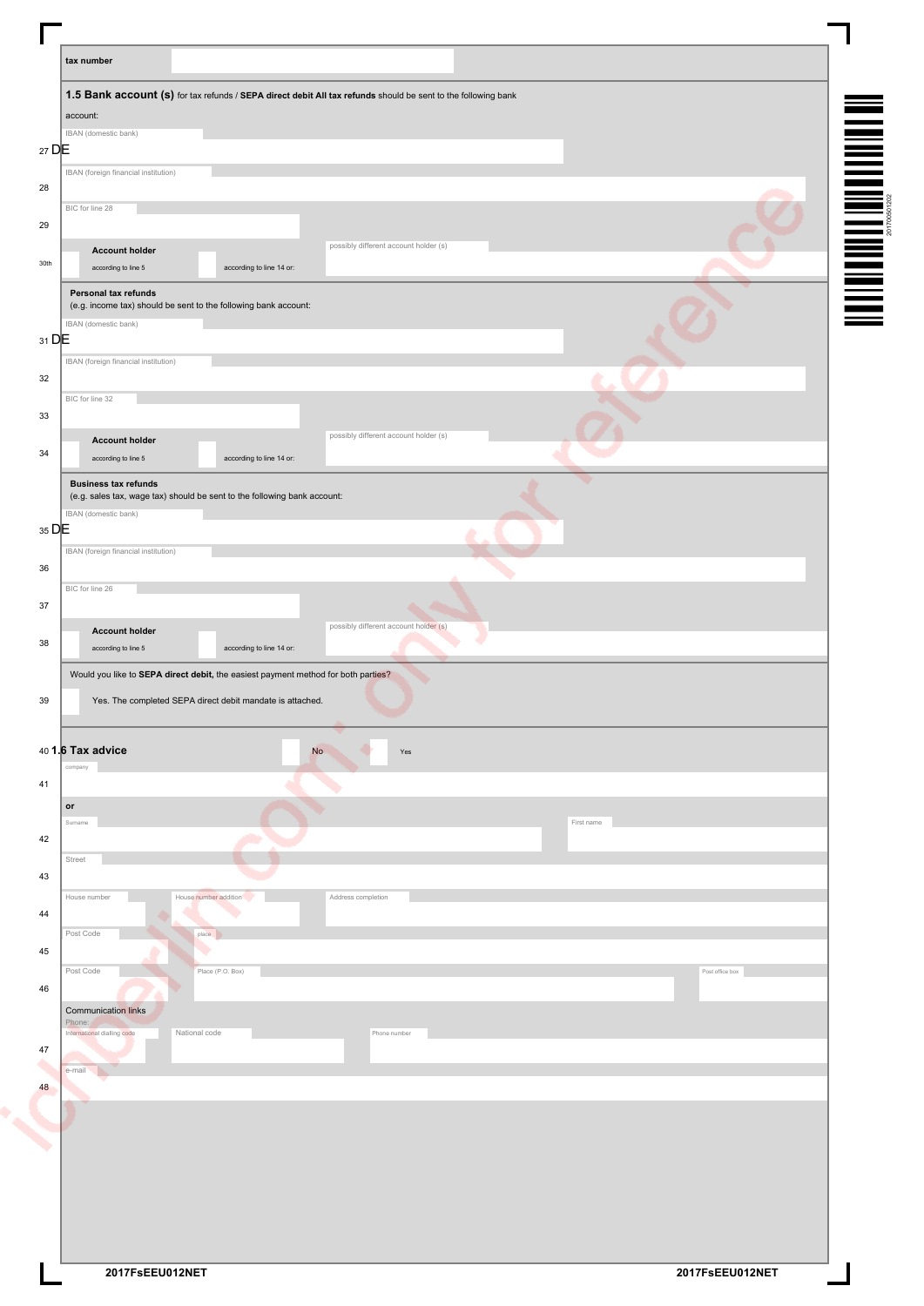|                                          | 1.5 Bank account (s) for tax refunds / SEPA direct debit All tax refunds should be sent to the following bank<br>account:                                                                              |  |
|------------------------------------------|--------------------------------------------------------------------------------------------------------------------------------------------------------------------------------------------------------|--|
|                                          | IBAN (domestic bank)                                                                                                                                                                                   |  |
| $27$ DE                                  |                                                                                                                                                                                                        |  |
|                                          | IBAN (foreign financial institution)                                                                                                                                                                   |  |
| 28                                       | BIC for line 28                                                                                                                                                                                        |  |
| 29                                       |                                                                                                                                                                                                        |  |
|                                          | possibly different account holder (s)<br><b>Account holder</b>                                                                                                                                         |  |
| 30th                                     | according to line 5<br>according to line 14 or:                                                                                                                                                        |  |
|                                          | Personal tax refunds                                                                                                                                                                                   |  |
|                                          | (e.g. income tax) should be sent to the following bank account:                                                                                                                                        |  |
| $31$ DE                                  | IBAN (domestic bank)                                                                                                                                                                                   |  |
|                                          | IBAN (foreign financial institution)                                                                                                                                                                   |  |
| 32                                       |                                                                                                                                                                                                        |  |
|                                          | BIC for line 32                                                                                                                                                                                        |  |
| 33                                       |                                                                                                                                                                                                        |  |
|                                          | possibly different account holder (s)<br><b>Account holder</b>                                                                                                                                         |  |
| 34                                       | according to line 5<br>according to line 14 or:                                                                                                                                                        |  |
|                                          | <b>Business tax refunds</b><br>(e.g. sales tax, wage tax) should be sent to the following bank account:                                                                                                |  |
|                                          | IBAN (domestic bank)                                                                                                                                                                                   |  |
| 35 DE                                    |                                                                                                                                                                                                        |  |
|                                          | IBAN (foreign financial institution)                                                                                                                                                                   |  |
| 36                                       |                                                                                                                                                                                                        |  |
|                                          | BIC for line 26                                                                                                                                                                                        |  |
|                                          |                                                                                                                                                                                                        |  |
| 37                                       |                                                                                                                                                                                                        |  |
|                                          | possibly different account holder (s)<br><b>Account holder</b><br>according to line 5<br>according to line 14 or:<br>Would you like to SEPA direct debit, the easiest payment method for both parties? |  |
|                                          | Yes. The completed SEPA direct debit mandate is attached.                                                                                                                                              |  |
|                                          | 40 1.6 Tax advice<br>No<br>$\operatorname{\mathsf{Yes}}$                                                                                                                                               |  |
|                                          | company                                                                                                                                                                                                |  |
|                                          |                                                                                                                                                                                                        |  |
| 38<br>39<br>41<br>$\mathop{\mathsf{or}}$ | Surname<br>First name                                                                                                                                                                                  |  |
| 42                                       |                                                                                                                                                                                                        |  |
| Street                                   |                                                                                                                                                                                                        |  |
|                                          |                                                                                                                                                                                                        |  |
|                                          | House number<br>House number addition<br>Address completion                                                                                                                                            |  |
|                                          | Post Code<br>place                                                                                                                                                                                     |  |
| 43<br>44<br>45                           | ۰                                                                                                                                                                                                      |  |
|                                          | Post Code<br>Place (P.O. Box)<br>Post office box                                                                                                                                                       |  |
| 46                                       |                                                                                                                                                                                                        |  |
|                                          | <b>Communication links</b><br>Phone:                                                                                                                                                                   |  |
|                                          | National code<br>International dialling code<br>Phone number                                                                                                                                           |  |
| 47                                       | e-mail                                                                                                                                                                                                 |  |
| 48                                       |                                                                                                                                                                                                        |  |
|                                          |                                                                                                                                                                                                        |  |
|                                          |                                                                                                                                                                                                        |  |
|                                          |                                                                                                                                                                                                        |  |
|                                          |                                                                                                                                                                                                        |  |
|                                          |                                                                                                                                                                                                        |  |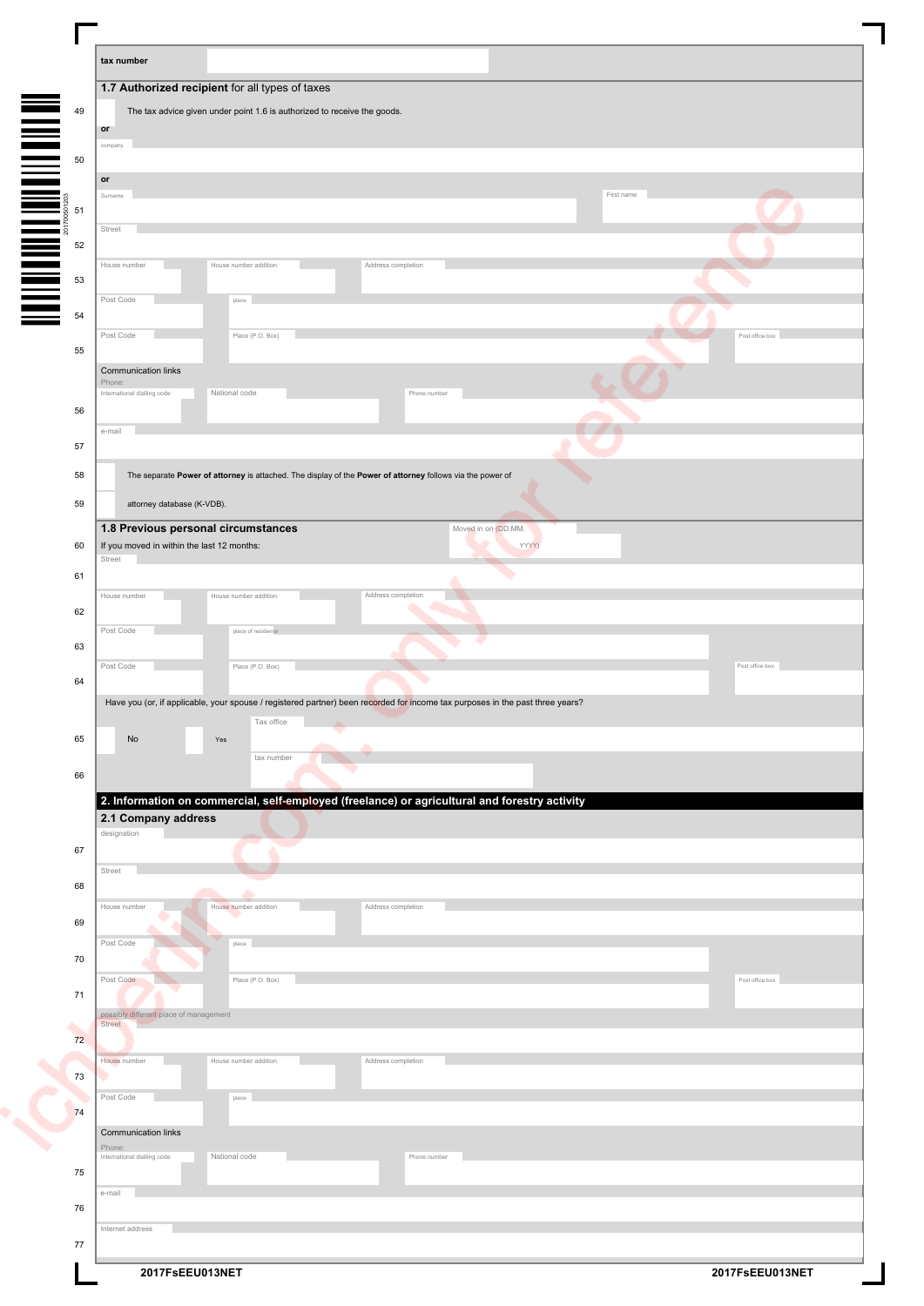| tax number                            |                                                                                                           |                    |                                                                                                                               |            |                 |
|---------------------------------------|-----------------------------------------------------------------------------------------------------------|--------------------|-------------------------------------------------------------------------------------------------------------------------------|------------|-----------------|
|                                       | 1.7 Authorized recipient for all types of taxes                                                           |                    |                                                                                                                               |            |                 |
|                                       | The tax advice given under point 1.6 is authorized to receive the goods.                                  |                    |                                                                                                                               |            |                 |
| or                                    |                                                                                                           |                    |                                                                                                                               |            |                 |
| compan                                |                                                                                                           |                    |                                                                                                                               |            |                 |
|                                       |                                                                                                           |                    |                                                                                                                               |            |                 |
| $\mathop{\mathsf{or}}$<br>Surname     |                                                                                                           |                    |                                                                                                                               | First name |                 |
|                                       |                                                                                                           |                    |                                                                                                                               |            |                 |
| Street                                |                                                                                                           |                    |                                                                                                                               |            |                 |
|                                       |                                                                                                           |                    |                                                                                                                               |            |                 |
| House number                          | House number addition                                                                                     | Address completion |                                                                                                                               |            |                 |
|                                       |                                                                                                           |                    |                                                                                                                               |            |                 |
| Post Code                             | place                                                                                                     |                    |                                                                                                                               |            |                 |
| Post Code                             | Place (P.O. Box)                                                                                          |                    |                                                                                                                               |            | Post office box |
| 55                                    |                                                                                                           |                    |                                                                                                                               |            |                 |
| Communication links                   |                                                                                                           |                    |                                                                                                                               |            |                 |
| Phone:<br>International dialling code | National code                                                                                             |                    | Phone numbe                                                                                                                   |            |                 |
| 56                                    |                                                                                                           |                    |                                                                                                                               |            |                 |
| e-mail                                |                                                                                                           |                    |                                                                                                                               |            |                 |
| 57                                    |                                                                                                           |                    |                                                                                                                               |            |                 |
| 58                                    | The separate Power of attorney is attached. The display of the Power of attorney follows via the power of |                    |                                                                                                                               |            |                 |
|                                       |                                                                                                           |                    |                                                                                                                               |            |                 |
| 59                                    | attorney database (K-VDB).                                                                                |                    |                                                                                                                               |            |                 |
|                                       | 1.8 Previous personal circumstances                                                                       |                    | Moved in on (DD.MM.                                                                                                           |            |                 |
| 60<br>Street                          | If you moved in within the last 12 months:                                                                |                    | YYYY)                                                                                                                         |            |                 |
| 61                                    |                                                                                                           |                    |                                                                                                                               |            |                 |
| House number                          | House number addition                                                                                     | Address completion |                                                                                                                               |            |                 |
| 62                                    |                                                                                                           |                    |                                                                                                                               |            |                 |
| Post Code                             | place of residence                                                                                        |                    |                                                                                                                               |            |                 |
| 63                                    |                                                                                                           |                    |                                                                                                                               |            |                 |
| Post Code                             | Place (P.O. Box)                                                                                          |                    |                                                                                                                               |            | Post office box |
| 64                                    |                                                                                                           |                    |                                                                                                                               |            |                 |
|                                       |                                                                                                           |                    | Have you (or, if applicable, your spouse / registered partner) been recorded for income tax purposes in the past three years? |            |                 |
| 65<br>No                              | Tax office<br>Yes                                                                                         |                    |                                                                                                                               |            |                 |
|                                       | tax number                                                                                                |                    |                                                                                                                               |            |                 |
| 66                                    |                                                                                                           |                    |                                                                                                                               |            |                 |
|                                       |                                                                                                           |                    | 2. Information on commercial, self-employed (freelance) or agricultural and forestry activity                                 |            |                 |
|                                       | 2.1 Company address                                                                                       |                    |                                                                                                                               |            |                 |
| designation                           |                                                                                                           |                    |                                                                                                                               |            |                 |
| 67                                    |                                                                                                           |                    |                                                                                                                               |            |                 |
| Street                                |                                                                                                           |                    |                                                                                                                               |            |                 |
| 68                                    | ▵                                                                                                         |                    |                                                                                                                               |            |                 |
| House number<br>69                    | House number addition                                                                                     | Address completion |                                                                                                                               |            |                 |
| Post Code                             |                                                                                                           |                    |                                                                                                                               |            |                 |
| 70                                    | place                                                                                                     |                    |                                                                                                                               |            |                 |
| Post Code                             | Place (P.O. Box)                                                                                          |                    |                                                                                                                               |            | Post office box |
| 71                                    |                                                                                                           |                    |                                                                                                                               |            |                 |
|                                       | possibly different place of management                                                                    |                    |                                                                                                                               |            |                 |
| Street<br>۰<br>72                     |                                                                                                           |                    |                                                                                                                               |            |                 |
| House number                          | House number addition                                                                                     | Address completion |                                                                                                                               |            |                 |
| 73<br>۰                               |                                                                                                           |                    |                                                                                                                               |            |                 |
| Post Code                             | place                                                                                                     |                    |                                                                                                                               |            |                 |
| 74                                    |                                                                                                           |                    |                                                                                                                               |            |                 |
| Communication links                   |                                                                                                           |                    |                                                                                                                               |            |                 |
| Phone:<br>International dialling code | National code                                                                                             |                    | Phone number                                                                                                                  |            |                 |
| 75                                    |                                                                                                           |                    |                                                                                                                               |            |                 |
| e-mail                                |                                                                                                           |                    |                                                                                                                               |            |                 |
|                                       |                                                                                                           |                    |                                                                                                                               |            |                 |
| 76                                    |                                                                                                           |                    |                                                                                                                               |            |                 |
| Internet address<br>77                |                                                                                                           |                    |                                                                                                                               |            |                 |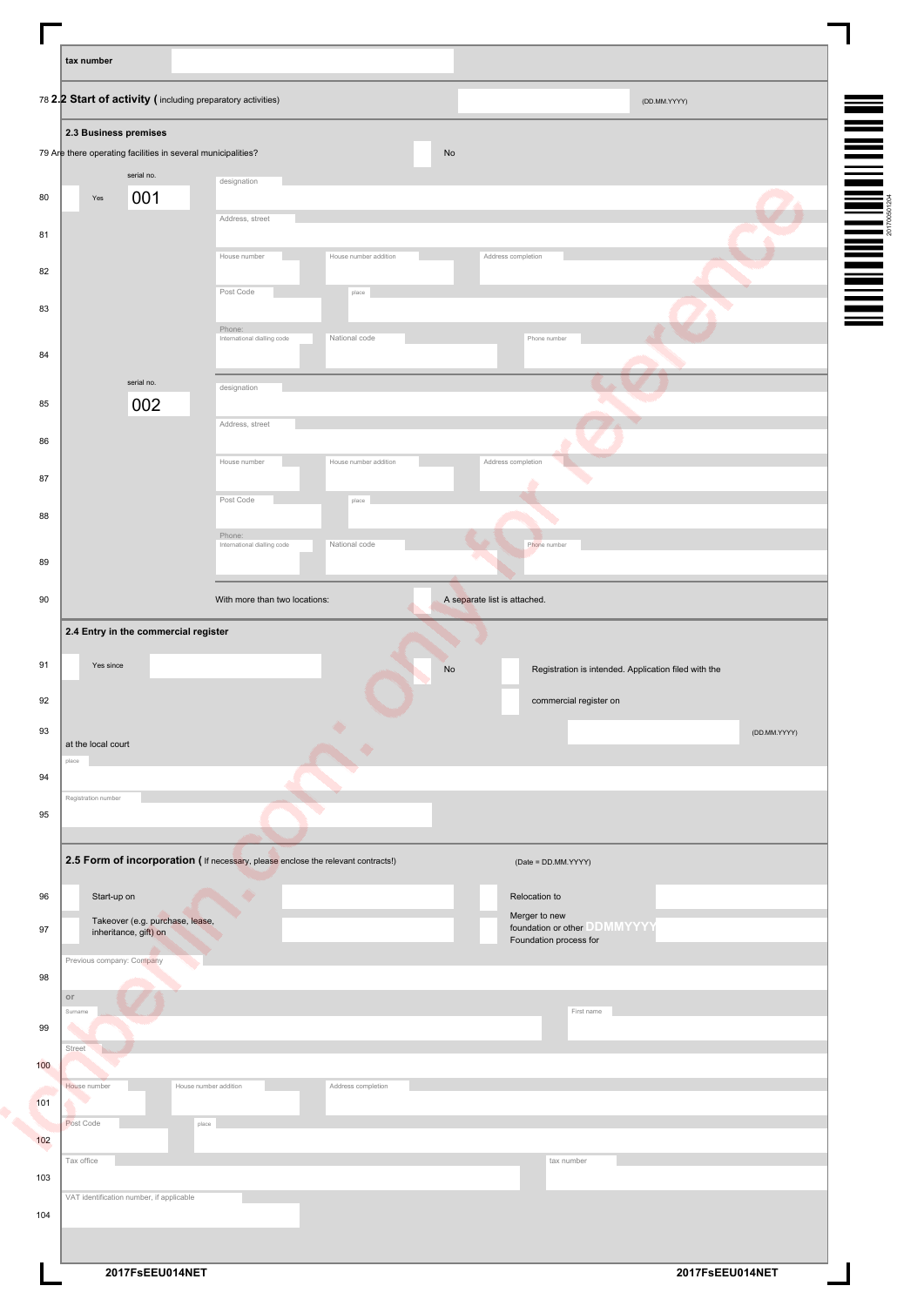| tax number                                                   |                                                                                   |                                                                                                                                            |
|--------------------------------------------------------------|-----------------------------------------------------------------------------------|--------------------------------------------------------------------------------------------------------------------------------------------|
| 78 2.2 Start of activity (including preparatory activities)  |                                                                                   | (DD.MM.YYYY)                                                                                                                               |
| 2.3 Business premises                                        |                                                                                   |                                                                                                                                            |
| 79 Are there operating facilities in several municipalities? |                                                                                   | $\mathsf{No}$                                                                                                                              |
| serial no.                                                   | designation                                                                       |                                                                                                                                            |
| 001<br>$\operatorname{\mathsf{Yes}}$                         | Address, street                                                                   |                                                                                                                                            |
|                                                              |                                                                                   |                                                                                                                                            |
|                                                              | House number<br>House number addition                                             | <b>THE POST OF A SET OF THE PARTIES OF A SET OF A SET OF A SET OF A SET OF A SET OF A SET OF A SET OF A SET OF A</b><br>Address completion |
|                                                              | Post Code<br>place                                                                |                                                                                                                                            |
|                                                              | Phone:                                                                            |                                                                                                                                            |
|                                                              | National code<br>International dialling code                                      | Phone number                                                                                                                               |
| serial no.                                                   |                                                                                   |                                                                                                                                            |
| 002                                                          | designation                                                                       |                                                                                                                                            |
|                                                              | Address, street                                                                   |                                                                                                                                            |
|                                                              | House number<br>House number addition                                             | Address completion                                                                                                                         |
|                                                              |                                                                                   |                                                                                                                                            |
|                                                              | Post Code<br>place                                                                |                                                                                                                                            |
|                                                              | Phone:                                                                            |                                                                                                                                            |
|                                                              | National code<br>International dialling code                                      | Phone number                                                                                                                               |
|                                                              |                                                                                   |                                                                                                                                            |
|                                                              | With more than two locations:                                                     | A separate list is attached.                                                                                                               |
| 2.4 Entry in the commercial register<br>Yes since            |                                                                                   | $\mathsf{No}$<br>Registration is intended. Application filed with the                                                                      |
|                                                              |                                                                                   | commercial register on                                                                                                                     |
| at the local court<br>place                                  |                                                                                   | (DD.MM.YYYY)                                                                                                                               |
|                                                              |                                                                                   |                                                                                                                                            |
| Registration number                                          |                                                                                   |                                                                                                                                            |
|                                                              |                                                                                   |                                                                                                                                            |
|                                                              | 2.5 Form of incorporation ( If necessary, please enclose the relevant contracts!) | (Date = DD.MM.YYYY)                                                                                                                        |
| Start-up on                                                  |                                                                                   | Relocation to                                                                                                                              |
| Takeover (e.g. purchase, lease,                              |                                                                                   | Merger to new                                                                                                                              |
| inheritance, gift) on                                        |                                                                                   | foundation or other DDMMYYYY<br>Foundation process for                                                                                     |
| Previous company: Company                                    |                                                                                   |                                                                                                                                            |
| $\circ$                                                      |                                                                                   |                                                                                                                                            |
| Surname                                                      |                                                                                   | First name                                                                                                                                 |
| Street                                                       |                                                                                   |                                                                                                                                            |
|                                                              |                                                                                   |                                                                                                                                            |
| House number                                                 | House number addition<br>Address completion                                       |                                                                                                                                            |
| Post Code                                                    | place                                                                             |                                                                                                                                            |
|                                                              |                                                                                   |                                                                                                                                            |
| Tax office                                                   |                                                                                   | tax number                                                                                                                                 |
| VAT identification number, if applicable                     |                                                                                   |                                                                                                                                            |
|                                                              |                                                                                   |                                                                                                                                            |
|                                                              |                                                                                   |                                                                                                                                            |
| 2017FsEEU014NET                                              |                                                                                   | 2017FsEEU014NET                                                                                                                            |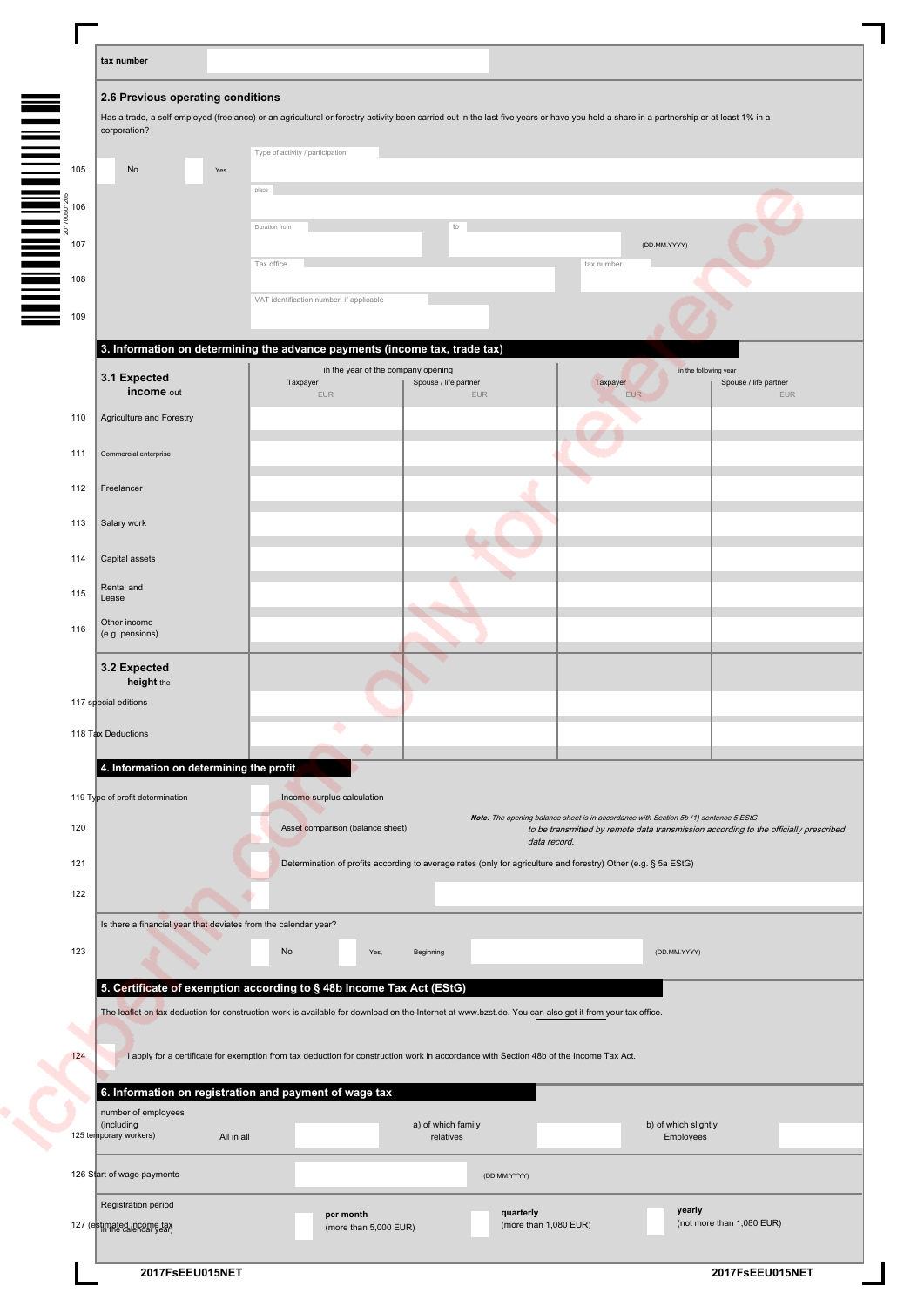|                                 | tax number                                                                                                                                             |                                          |                                    |                                                                                                                                                                                        |                                                                                      |
|---------------------------------|--------------------------------------------------------------------------------------------------------------------------------------------------------|------------------------------------------|------------------------------------|----------------------------------------------------------------------------------------------------------------------------------------------------------------------------------------|--------------------------------------------------------------------------------------|
|                                 | 2.6 Previous operating conditions                                                                                                                      |                                          |                                    |                                                                                                                                                                                        |                                                                                      |
|                                 | corporation?                                                                                                                                           |                                          |                                    | Has a trade, a self-employed (freelance) or an agricultural or forestry activity been carried out in the last five years or have you held a share in a partnership or at least 1% in a |                                                                                      |
|                                 |                                                                                                                                                        | Type of activity / participation         |                                    |                                                                                                                                                                                        |                                                                                      |
|                                 | No<br>Yes                                                                                                                                              |                                          |                                    |                                                                                                                                                                                        |                                                                                      |
|                                 |                                                                                                                                                        | place                                    |                                    |                                                                                                                                                                                        |                                                                                      |
|                                 |                                                                                                                                                        | Duration from                            | to                                 |                                                                                                                                                                                        |                                                                                      |
|                                 |                                                                                                                                                        | Tax office                               |                                    | tax number                                                                                                                                                                             | (DD.MM.YYYY)                                                                         |
|                                 |                                                                                                                                                        |                                          |                                    |                                                                                                                                                                                        |                                                                                      |
|                                 |                                                                                                                                                        | VAT identification number, if applicable |                                    |                                                                                                                                                                                        |                                                                                      |
|                                 |                                                                                                                                                        |                                          |                                    |                                                                                                                                                                                        |                                                                                      |
|                                 | 3. Information on determining the advance payments (income tax, trade tax)                                                                             |                                          | in the year of the company opening |                                                                                                                                                                                        | in the following year                                                                |
|                                 | 3.1 Expected<br>income out                                                                                                                             | Taxpayer<br><b>EUR</b>                   | Spouse / life partner<br>EUR       | Taxpayer<br><b>EUR</b>                                                                                                                                                                 | Spouse / life partner<br>EUR                                                         |
| 110                             | Agriculture and Forestry                                                                                                                               |                                          |                                    |                                                                                                                                                                                        |                                                                                      |
|                                 |                                                                                                                                                        |                                          |                                    |                                                                                                                                                                                        |                                                                                      |
| 111                             | Commercial enterprise                                                                                                                                  |                                          |                                    |                                                                                                                                                                                        |                                                                                      |
| 112                             | Freelancer                                                                                                                                             |                                          |                                    |                                                                                                                                                                                        |                                                                                      |
| 113                             | Salary work                                                                                                                                            |                                          |                                    |                                                                                                                                                                                        |                                                                                      |
|                                 |                                                                                                                                                        |                                          |                                    |                                                                                                                                                                                        |                                                                                      |
| 114                             | Capital assets                                                                                                                                         |                                          |                                    |                                                                                                                                                                                        |                                                                                      |
| 115                             | Rental and<br>Lease                                                                                                                                    |                                          |                                    |                                                                                                                                                                                        |                                                                                      |
| 116                             | Other income                                                                                                                                           |                                          |                                    |                                                                                                                                                                                        |                                                                                      |
|                                 | (e.g. pensions)                                                                                                                                        |                                          |                                    |                                                                                                                                                                                        |                                                                                      |
|                                 | 3.2 Expected<br>height the                                                                                                                             |                                          |                                    |                                                                                                                                                                                        |                                                                                      |
|                                 | 117 special editions                                                                                                                                   |                                          |                                    |                                                                                                                                                                                        |                                                                                      |
|                                 | 118 Tax Deductions                                                                                                                                     |                                          |                                    |                                                                                                                                                                                        |                                                                                      |
|                                 |                                                                                                                                                        |                                          |                                    |                                                                                                                                                                                        |                                                                                      |
|                                 | 4. Information on determining the profit                                                                                                               |                                          |                                    |                                                                                                                                                                                        |                                                                                      |
|                                 | 119 Type of profit determination                                                                                                                       | Income surplus calculation               |                                    | Note: The opening balance sheet is in accordance with Section 5b (1) sentence 5 EStG                                                                                                   |                                                                                      |
|                                 |                                                                                                                                                        |                                          |                                    |                                                                                                                                                                                        | to be transmitted by remote data transmission according to the officially prescribed |
|                                 |                                                                                                                                                        | Asset comparison (balance sheet)         |                                    |                                                                                                                                                                                        |                                                                                      |
|                                 |                                                                                                                                                        |                                          |                                    | data record.<br>Determination of profits according to average rates (only for agriculture and forestry) Other (e.g. § 5a EStG)                                                         |                                                                                      |
|                                 |                                                                                                                                                        |                                          |                                    |                                                                                                                                                                                        |                                                                                      |
|                                 |                                                                                                                                                        |                                          |                                    |                                                                                                                                                                                        |                                                                                      |
|                                 | Is there a financial year that deviates from the calendar year?                                                                                        |                                          |                                    |                                                                                                                                                                                        |                                                                                      |
|                                 |                                                                                                                                                        | No                                       | Yes,<br>Beginning                  |                                                                                                                                                                                        | (DD.MM.YYYY)                                                                         |
|                                 | 5. Certificate of exemption according to § 48b Income Tax Act (EStG)                                                                                   |                                          |                                    |                                                                                                                                                                                        |                                                                                      |
|                                 | The leaflet on tax deduction for construction work is available for download on the Internet at www.bzst.de. You can also get it from your tax office. |                                          |                                    |                                                                                                                                                                                        |                                                                                      |
|                                 |                                                                                                                                                        |                                          |                                    |                                                                                                                                                                                        |                                                                                      |
| 120<br>121<br>122<br>123<br>124 |                                                                                                                                                        |                                          |                                    | I apply for a certificate for exemption from tax deduction for construction work in accordance with Section 48b of the Income Tax Act.                                                 |                                                                                      |
|                                 | 6. Information on registration and payment of wage tax                                                                                                 |                                          |                                    |                                                                                                                                                                                        |                                                                                      |
|                                 | number of employees<br>(including                                                                                                                      |                                          | a) of which family                 |                                                                                                                                                                                        | b) of which slightly                                                                 |
|                                 | 125 temporary workers)                                                                                                                                 | All in all                               | relatives                          |                                                                                                                                                                                        | Employees                                                                            |
|                                 | 126 Start of wage payments                                                                                                                             |                                          |                                    | (DD.MM.YYYY)                                                                                                                                                                           |                                                                                      |
|                                 | Registration period                                                                                                                                    | per month                                |                                    | quarterly                                                                                                                                                                              | yearly                                                                               |

 $\overline{\mathbf{I}}$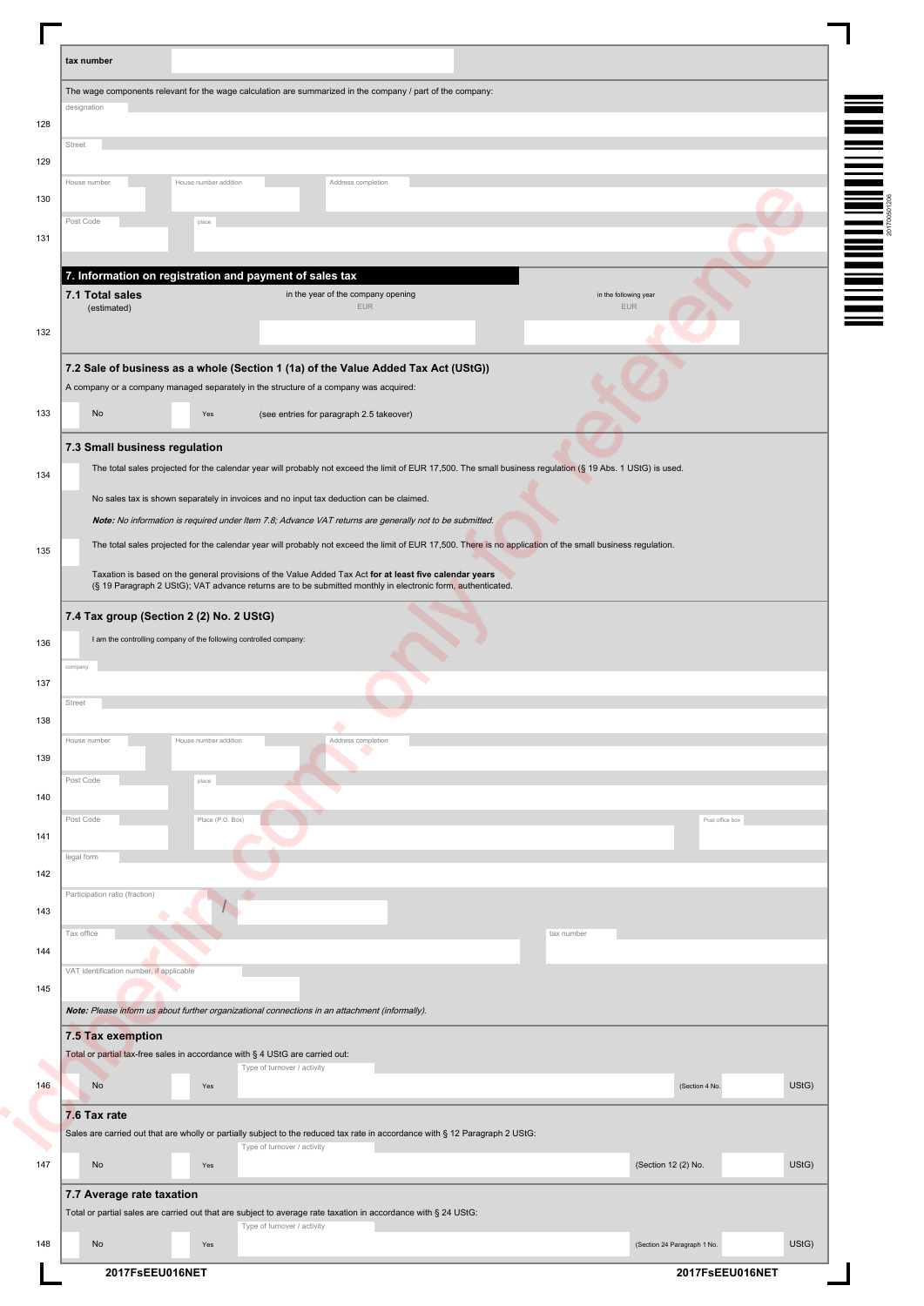| tax number   |                                                                                                                                                                                                                        |                       |                             |                                                  |  |            |                              |                             |                 |       |
|--------------|------------------------------------------------------------------------------------------------------------------------------------------------------------------------------------------------------------------------|-----------------------|-----------------------------|--------------------------------------------------|--|------------|------------------------------|-----------------------------|-----------------|-------|
|              | The wage components relevant for the wage calculation are summarized in the company / part of the company:                                                                                                             |                       |                             |                                                  |  |            |                              |                             |                 |       |
| designation  |                                                                                                                                                                                                                        |                       |                             |                                                  |  |            |                              |                             |                 |       |
| Street       |                                                                                                                                                                                                                        |                       |                             |                                                  |  |            |                              |                             |                 |       |
|              |                                                                                                                                                                                                                        |                       |                             |                                                  |  |            |                              |                             |                 |       |
| House number |                                                                                                                                                                                                                        | House number addition |                             | Address completion                               |  |            |                              |                             |                 |       |
| Post Code    |                                                                                                                                                                                                                        | place                 |                             |                                                  |  |            |                              |                             |                 |       |
|              |                                                                                                                                                                                                                        |                       |                             |                                                  |  |            |                              |                             |                 |       |
|              | 7. Information on registration and payment of sales tax                                                                                                                                                                |                       |                             |                                                  |  |            |                              |                             |                 |       |
|              | 7.1 Total sales                                                                                                                                                                                                        |                       |                             | in the year of the company opening<br><b>EUR</b> |  |            | in the following year<br>EUR |                             |                 |       |
|              | (estimated)                                                                                                                                                                                                            |                       |                             |                                                  |  |            |                              |                             |                 |       |
|              |                                                                                                                                                                                                                        |                       |                             |                                                  |  |            |                              |                             |                 |       |
|              | 7.2 Sale of business as a whole (Section 1 (1a) of the Value Added Tax Act (UStG))                                                                                                                                     |                       |                             |                                                  |  |            |                              |                             |                 |       |
|              | A company or a company managed separately in the structure of a company was acquired:                                                                                                                                  |                       |                             |                                                  |  |            |                              |                             |                 |       |
|              | No                                                                                                                                                                                                                     | Yes                   |                             | (see entries for paragraph 2.5 takeover)         |  |            |                              |                             |                 |       |
|              | 7.3 Small business regulation                                                                                                                                                                                          |                       |                             |                                                  |  |            |                              |                             |                 |       |
|              | The total sales projected for the calendar year will probably not exceed the limit of EUR 17,500. The small business regulation (§ 19 Abs. 1 UStG) is used.                                                            |                       |                             |                                                  |  |            |                              |                             |                 |       |
|              | No sales tax is shown separately in invoices and no input tax deduction can be claimed.                                                                                                                                |                       |                             |                                                  |  |            |                              |                             |                 |       |
|              | Note: No information is required under Item 7.8; Advance VAT returns are generally not to be submitted.                                                                                                                |                       |                             |                                                  |  |            |                              |                             |                 |       |
|              | The total sales projected for the calendar year will probably not exceed the limit of EUR 17,500. There is no application of the small business regulation.                                                            |                       |                             |                                                  |  |            |                              |                             |                 |       |
|              | Taxation is based on the general provisions of the Value Added Tax Act for at least five calendar years<br>(§ 19 Paragraph 2 UStG); VAT advance returns are to be submitted monthly in electronic form, authenticated. |                       |                             |                                                  |  |            |                              |                             |                 |       |
|              | 7.4 Tax group (Section 2 (2) No. 2 UStG)                                                                                                                                                                               |                       |                             |                                                  |  |            |                              |                             |                 |       |
|              | I am the controlling company of the following controlled company:                                                                                                                                                      |                       |                             |                                                  |  |            |                              |                             |                 |       |
| compa        |                                                                                                                                                                                                                        |                       |                             |                                                  |  |            |                              |                             |                 |       |
| Street       |                                                                                                                                                                                                                        |                       |                             |                                                  |  |            |                              |                             |                 |       |
|              |                                                                                                                                                                                                                        |                       |                             |                                                  |  |            |                              |                             |                 |       |
| House number |                                                                                                                                                                                                                        | House number addition |                             | Address completion                               |  |            |                              |                             |                 |       |
| Post Code    |                                                                                                                                                                                                                        | place                 |                             |                                                  |  |            |                              |                             |                 |       |
|              |                                                                                                                                                                                                                        |                       |                             |                                                  |  |            |                              |                             |                 |       |
| Post Code    |                                                                                                                                                                                                                        | Place (P.O. Box)      |                             |                                                  |  |            |                              |                             | Post office box |       |
| legal form   |                                                                                                                                                                                                                        |                       |                             |                                                  |  |            |                              |                             |                 |       |
|              |                                                                                                                                                                                                                        |                       |                             |                                                  |  |            |                              |                             |                 |       |
|              | Participation ratio (fraction)                                                                                                                                                                                         |                       |                             |                                                  |  |            |                              |                             |                 |       |
| Tax office   |                                                                                                                                                                                                                        |                       |                             |                                                  |  | tax number |                              |                             |                 |       |
|              |                                                                                                                                                                                                                        |                       |                             |                                                  |  |            |                              |                             |                 |       |
|              | VAT identification number, if applicable                                                                                                                                                                               |                       |                             |                                                  |  |            |                              |                             |                 |       |
|              | Note: Please inform us about further organizational connections in an attachment (informally).                                                                                                                         |                       |                             |                                                  |  |            |                              |                             |                 |       |
|              | 7.5 Tax exemption                                                                                                                                                                                                      |                       |                             |                                                  |  |            |                              |                             |                 |       |
|              | Total or partial tax-free sales in accordance with § 4 UStG are carried out:                                                                                                                                           |                       |                             |                                                  |  |            |                              |                             |                 |       |
|              |                                                                                                                                                                                                                        | Yes                   | Type of turnover / activity |                                                  |  |            |                              | (Section 4 No.              |                 | UStG) |
|              | No                                                                                                                                                                                                                     |                       |                             |                                                  |  |            |                              |                             |                 |       |
|              |                                                                                                                                                                                                                        |                       |                             |                                                  |  |            |                              |                             |                 |       |
|              | 7.6 Tax rate<br>Sales are carried out that are wholly or partially subject to the reduced tax rate in accordance with § 12 Paragraph 2 UStG:                                                                           |                       |                             |                                                  |  |            |                              |                             |                 |       |
|              |                                                                                                                                                                                                                        |                       | Type of turnover / activity |                                                  |  |            |                              |                             |                 |       |
|              | No                                                                                                                                                                                                                     | Yes                   |                             |                                                  |  |            |                              | (Section 12 (2) No.         |                 | UStG) |
|              | 7.7 Average rate taxation                                                                                                                                                                                              |                       |                             |                                                  |  |            |                              |                             |                 |       |
|              | Total or partial sales are carried out that are subject to average rate taxation in accordance with § 24 UStG:<br>No                                                                                                   | Yes                   | Type of turnover / activity |                                                  |  |            |                              | (Section 24 Paragraph 1 No. |                 | UStG) |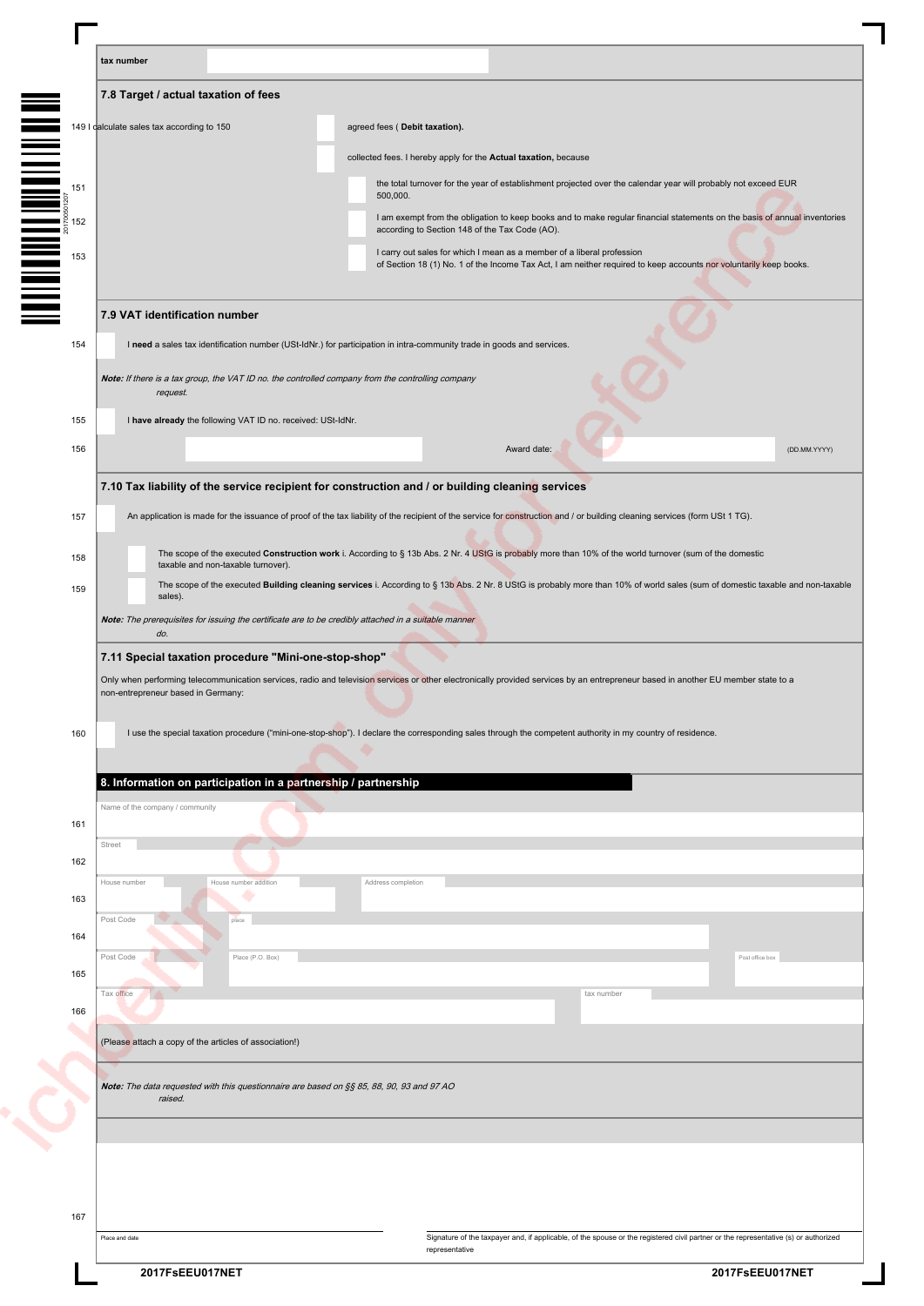|     | tax number                                                                                                                                                                                                                                |
|-----|-------------------------------------------------------------------------------------------------------------------------------------------------------------------------------------------------------------------------------------------|
|     | 7.8 Target / actual taxation of fees                                                                                                                                                                                                      |
|     | 149 I calculate sales tax according to 150<br>agreed fees (Debit taxation).                                                                                                                                                               |
|     | collected fees. I hereby apply for the Actual taxation, because                                                                                                                                                                           |
|     | the total turnover for the year of establishment projected over the calendar year will probably not exceed EUR                                                                                                                            |
|     | 500,000.<br>I am exempt from the obligation to keep books and to make regular financial statements on the basis of annual inventories                                                                                                     |
|     | according to Section 148 of the Tax Code (AO).                                                                                                                                                                                            |
|     | I carry out sales for which I mean as a member of a liberal profession<br>of Section 18 (1) No. 1 of the Income Tax Act, I am neither required to keep accounts nor voluntarily keep books.                                               |
|     |                                                                                                                                                                                                                                           |
|     | 7.9 VAT identification number                                                                                                                                                                                                             |
| 154 | I need a sales tax identification number (USt-IdNr.) for participation in intra-community trade in goods and services.                                                                                                                    |
|     | Note: If there is a tax group, the VAT ID no. the controlled company from the controlling company<br>request.                                                                                                                             |
| 155 | I have already the following VAT ID no. received: USt-IdNr.                                                                                                                                                                               |
| 156 | Award date:<br>(DD.MM.YYYY)                                                                                                                                                                                                               |
|     |                                                                                                                                                                                                                                           |
|     | 7.10 Tax liability of the service recipient for construction and / or building cleaning services                                                                                                                                          |
| 157 | An application is made for the issuance of proof of the tax liability of the recipient of the service for construction and / or building cleaning services (form USt 1 TG).                                                               |
| 158 | The scope of the executed Construction work i. According to § 13b Abs. 2 Nr. 4 UStG is probably more than 10% of the world turnover (sum of the domestic<br>taxable and non-taxable turnover).                                            |
| 159 | The scope of the executed Building cleaning services i. According to § 13b Abs. 2 Nr. 8 UStG is probably more than 10% of world sales (sum of domestic taxable and non-taxable<br>sales).                                                 |
|     | Note: The prerequisites for issuing the certificate are to be credibly attached in a suitable manner                                                                                                                                      |
|     | do.                                                                                                                                                                                                                                       |
|     | 7.11 Special taxation procedure "Mini-one-stop-shop"<br>Only when performing telecommunication services, radio and television services or other electronically provided services by an entrepreneur based in another EU member state to a |
|     | non-entrepreneur based in Germany:                                                                                                                                                                                                        |
| 160 | I use the special taxation procedure ("mini-one-stop-shop"). I declare the corresponding sales through the competent authority in my country of residence.                                                                                |
|     |                                                                                                                                                                                                                                           |
|     | 8. Information on participation in a partnership / partnership                                                                                                                                                                            |
| 161 | Name of the company / community                                                                                                                                                                                                           |
|     | Street                                                                                                                                                                                                                                    |
| 162 | House number<br>House number addition<br>Address completion                                                                                                                                                                               |
| 163 | Post Code                                                                                                                                                                                                                                 |
| 164 |                                                                                                                                                                                                                                           |
| 165 | Post Code<br>Place (P.O. Box)<br>Post office box                                                                                                                                                                                          |
|     | Tax office<br>tax number                                                                                                                                                                                                                  |
| 166 |                                                                                                                                                                                                                                           |
|     | (Please attach a copy of the articles of association!)                                                                                                                                                                                    |
|     | Note: The data requested with this questionnaire are based on §§ 85, 88, 90, 93 and 97 AO                                                                                                                                                 |
|     | raised.                                                                                                                                                                                                                                   |
|     |                                                                                                                                                                                                                                           |
|     |                                                                                                                                                                                                                                           |
|     |                                                                                                                                                                                                                                           |
|     |                                                                                                                                                                                                                                           |
| 167 | Signature of the taxpayer and, if applicable, of the spouse or the registered civil partner or the representative (s) or authorized<br>Place and date                                                                                     |